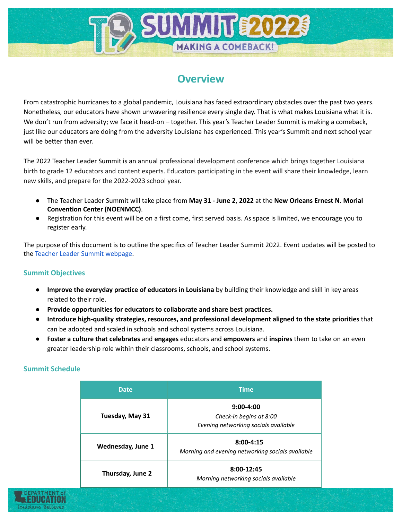# **Overview**

**UMMINTÉ20** 

**MAKING A COMEBACK!** 

From catastrophic hurricanes to a global pandemic, Louisiana has faced extraordinary obstacles over the past two years. Nonetheless, our educators have shown unwavering resilience every single day. That is what makes Louisiana what it is. We don't run from adversity; we face it head-on – together. This year's Teacher Leader Summit is making a comeback, just like our educators are doing from the adversity Louisiana has experienced. This year's Summit and next school year will be better than ever.

The 2022 Teacher Leader Summit is an annual professional development conference which brings together Louisiana birth to grade 12 educators and content experts. Educators participating in the event will share their knowledge, learn new skills, and prepare for the 2022-2023 school year.

- The Teacher Leader Summit will take place from **May 31 - June 2, 2022** at the **New Orleans Ernest N. Morial Convention Center (NOENMCC)**.
- Registration for this event will be on a first come, first served basis. As space is limited, we encourage you to register early.

The purpose of this document is to outline the specifics of Teacher Leader Summit 2022. Event updates will be posted to the Teacher Leader Summit [webpage](https://louisianabelieves.com/resources/classroom-support/teacher-support-toolbox/teacher-leader-summit).

## **Summit Objectives**

- **Improve the everyday practice of educators in Louisiana** by building their knowledge and skill in key areas related to their role.
- **Provide opportunities for educators to collaborate and share best practices.**
- **Introduce high-quality strategies, resources, and professional development aligned to the state priorities** that can be adopted and scaled in schools and school systems across Louisiana.
- **Foster a culture that celebrates** and **engages** educators and **empowers** and **inspires** them to take on an even greater leadership role within their classrooms, schools, and school systems.

#### **Summit Schedule**

| <b>Date</b>       | <b>Time</b>                                                                      |  |  |
|-------------------|----------------------------------------------------------------------------------|--|--|
| Tuesday, May 31   | $9:00 - 4:00$<br>Check-in begins at 8:00<br>Evening networking socials available |  |  |
| Wednesday, June 1 | $8:00 - 4:15$<br>Morning and evening networking socials available                |  |  |
| Thursday, June 2  | 8:00-12:45<br>Morning networking socials available                               |  |  |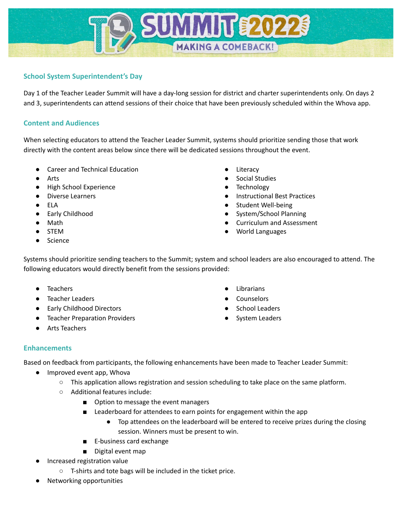# **School System Superintendent's Day**

Day 1 of the Teacher Leader Summit will have a day-long session for district and charter superintendents only. On days 2 and 3, superintendents can attend sessions of their choice that have been previously scheduled within the Whova app.

**SUMMIT \$202** 

**MAKING A COMEBACK!** 

## **Content and Audiences**

When selecting educators to attend the Teacher Leader Summit, systems should prioritize sending those that work directly with the content areas below since there will be dedicated sessions throughout the event.

- Career and Technical Education
- **Arts**
- **High School Experience**
- **Diverse Learners**
- **ELA**
- **Early Childhood**
- Math
- STEM
- **Science**
- Literacy
- Social Studies
- **Technology**
- **Instructional Best Practices**
- Student Well-being
- System/School Planning
- Curriculum and Assessment
- World Languages

Systems should prioritize sending teachers to the Summit; system and school leaders are also encouraged to attend. The following educators would directly benefit from the sessions provided:

- **Teachers**
- Teacher Leaders
- Early Childhood Directors
- **Teacher Preparation Providers**
- Arts Teachers
- Librarians
- **Counselors**
- **School Leaders**
- **System Leaders**

## **Enhancements**

Based on feedback from participants, the following enhancements have been made to Teacher Leader Summit:

- Improved event app, Whova
	- This application allows registration and session scheduling to take place on the same platform.
	- Additional features include:
		- Option to message the event managers
		- Leaderboard for attendees to earn points for engagement within the app
			- Top attendees on the leaderboard will be entered to receive prizes during the closing session. Winners must be present to win.
		- E-business card exchange
		- Digital event map
- Increased registration value
	- T-shirts and tote bags will be included in the ticket price.
- Networking opportunities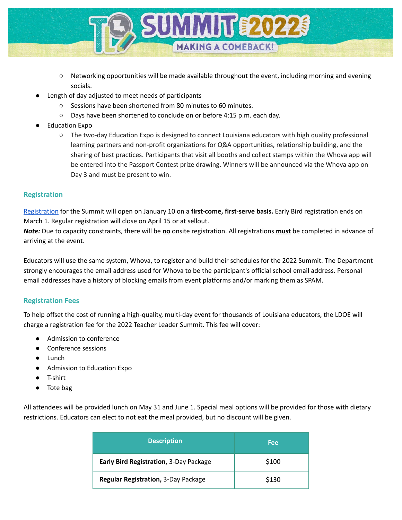

- Networking opportunities will be made available throughout the event, including morning and evening socials.
- Length of day adjusted to meet needs of participants
	- Sessions have been shortened from 80 minutes to 60 minutes.
	- Days have been shortened to conclude on or before 4:15 p.m. each day.
- **Education Expo** 
	- The two-day Education Expo is designed to connect Louisiana educators with high quality professional learning partners and non-profit organizations for Q&A opportunities, relationship building, and the sharing of best practices. Participants that visit all booths and collect stamps within the Whova app will be entered into the Passport Contest prize drawing. Winners will be announced via the Whova app on Day 3 and must be present to win.

# **Registration**

[Registration](https://whova.com/portal/registration/teach1_202206/) for the Summit will open on January 10 on a **first-come, first-serve basis.** Early Bird registration ends on March 1. Regular registration will close on April 15 or at sellout.

*Note:* Due to capacity constraints, there will be **no** onsite registration. All registrations **must** be completed in advance of arriving at the event.

Educators will use the same system, Whova, to register and build their schedules for the 2022 Summit. The Department strongly encourages the email address used for Whova to be the participant's official school email address. Personal email addresses have a history of blocking emails from event platforms and/or marking them as SPAM.

# **Registration Fees**

To help offset the cost of running a high-quality, multi-day event for thousands of Louisiana educators, the LDOE will charge a registration fee for the 2022 Teacher Leader Summit. This fee will cover:

- Admission to conference
- Conference sessions
- Lunch
- Admission to Education Expo
- T-shirt
- Tote bag

All attendees will be provided lunch on May 31 and June 1. Special meal options will be provided for those with dietary restrictions. Educators can elect to not eat the meal provided, but no discount will be given.

| <b>Description</b>                     | <b>Fee</b> |  |
|----------------------------------------|------------|--|
| Early Bird Registration, 3-Day Package | \$100      |  |
| Regular Registration, 3-Day Package    | \$130      |  |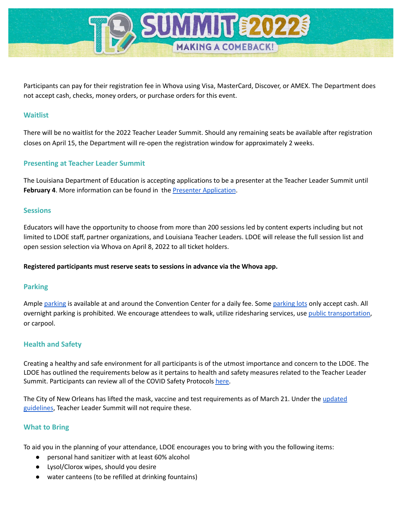

Participants can pay for their registration fee in Whova using Visa, MasterCard, Discover, or AMEX. The Department does not accept cash, checks, money orders, or purchase orders for this event.

### **Waitlist**

There will be no waitlist for the 2022 Teacher Leader Summit. Should any remaining seats be available after registration closes on April 15, the Department will re-open the registration window for approximately 2 weeks.

#### **Presenting at Teacher Leader Summit**

The Louisiana Department of Education is accepting applications to be a presenter at the Teacher Leader Summit until **February 4**. More information can be found in the Presenter [Application](https://www.louisianabelieves.com/docs/default-source/2022-teacher-leader-summit/presenter-application---tl-summit-2022.pdf).

#### **Sessions**

Educators will have the opportunity to choose from more than 200 sessions led by content experts including but not limited to LDOE staff, partner organizations, and Louisiana Teacher Leaders. LDOE will release the full session list and open session selection via Whova on April 8, 2022 to all ticket holders.

#### **Registered participants must reserve seats to sessions in advance via the Whova app.**

#### **Parking**

Ample [parking](https://mccno.com/wp-content/uploads/2019/01/Parking-Map-Update-Edit6-Lots-Added-1.jpg) is available at and around the Convention Center for a daily fee. Some parking lots only accept cash. All overnight parking is prohibited. We encourage attendees to walk, utilize ridesharing services, use public [transportation](http://www.norta.com/), or carpool.

## **Health and Safety**

Creating a healthy and safe environment for all participants is of the utmost importance and concern to the LDOE. The LDOE has outlined the requirements below as it pertains to health and safety measures related to the Teacher Leader Summit. Participants can review all of the COVID Safety Protocols [here.](https://www.louisianabelieves.com/docs/default-source/2022-teacher-leader-summit/covid-safety-protocols---tl-summit-2022.pdf)

The City of New Orleans has lifted the mask, vaccine and test requirements as of March 21. Under the [updated](https://ready.nola.gov/incident/coronavirus/safe-reopening/) [guidelines](https://ready.nola.gov/incident/coronavirus/safe-reopening/), Teacher Leader Summit will not require these.

#### **What to Bring**

To aid you in the planning of your attendance, LDOE encourages you to bring with you the following items:

- personal hand sanitizer with at least 60% alcohol
- Lysol/Clorox wipes, should you desire
- water canteens (to be refilled at drinking fountains)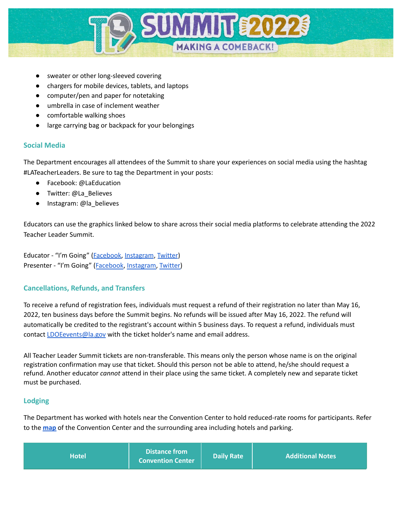

- sweater or other long-sleeved covering
- chargers for mobile devices, tablets, and laptops
- computer/pen and paper for notetaking
- umbrella in case of inclement weather
- comfortable walking shoes
- large carrying bag or backpack for your belongings

# **Social Media**

The Department encourages all attendees of the Summit to share your experiences on social media using the hashtag #LATeacherLeaders. Be sure to tag the Department in your posts:

- Facebook: @LaEducation
- Twitter: @La\_Believes
- Instagram: @la\_believes

Educators can use the graphics linked below to share across their social media platforms to celebrate attending the 2022 Teacher Leader Summit.

Educator - "I'm Going" [\(Facebook,](https://louisianabelieves.com/docs/default-source/2022-teacher-leader-summit/2022-tl-summit-social-media-graphics---educator---i-m-going-(facebook).jpg?sfvrsn=d0846518_2) [Instagram](https://louisianabelieves.com/docs/default-source/2022-teacher-leader-summit/2022-tl-summit-social-media-graphics---educator---i-m-going-(instagram).jpg?sfvrsn=d4846518_2), [Twitter](https://louisianabelieves.com/docs/default-source/2022-teacher-leader-summit/2022-tl-summit-social-media-graphics---educator---i-m-going-(twitter).jpg?sfvrsn=d7846518_2)) Presenter - "I'm Going" ([Facebook](https://louisianabelieves.com/docs/default-source/2022-teacher-leader-summit/2022-tl-summit-social-media-graphics---presenter---i-m-going-(facebook).jpg?sfvrsn=db846518_2), [Instagram,](https://louisianabelieves.com/docs/default-source/2022-teacher-leader-summit/2022-tl-summit-social-media-graphics---presenter---i-m-going-(instagram).jpg?sfvrsn=da846518_2) [Twitter\)](https://louisianabelieves.com/docs/default-source/2022-teacher-leader-summit/2022-tl-summit-social-media-graphics---presenter---i-m-going-(twitter).jpg?sfvrsn=d9846518_2)

## **Cancellations, Refunds, and Transfers**

To receive a refund of registration fees, individuals must request a refund of their registration no later than May 16, 2022, ten business days before the Summit begins. No refunds will be issued after May 16, 2022. The refund will automatically be credited to the registrant's account within 5 business days. To request a refund, individuals must contact [LDOEevents@la.gov](mailto:LDOEevents@la.gov) with the ticket holder's name and email address.

All Teacher Leader Summit tickets are non-transferable. This means only the person whose name is on the original registration confirmation may use that ticket. Should this person not be able to attend, he/she should request a refund. Another educator *cannot* attend in their place using the same ticket. A completely new and separate ticket must be purchased.

## **Lodging**

The Department has worked with hotels near the Convention Center to hold reduced-rate rooms for participants. Refer to the **[map](https://www.mccno.com/wp-content/uploads/2019/01/Parking-Map-Update-Edit6-Lots-Added-1.jpg)** of the Convention Center and the surrounding area including hotels and parking.

| <b>Distance from</b><br><b>Hotel</b><br><b>Convention Center</b> | Daily Rate | <b>Additional Notes</b> |
|------------------------------------------------------------------|------------|-------------------------|
|------------------------------------------------------------------|------------|-------------------------|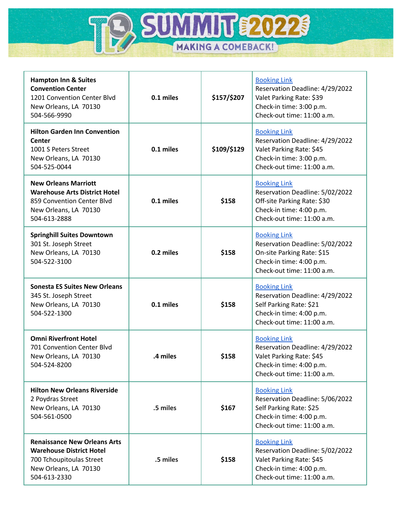

| <b>Hampton Inn &amp; Suites</b><br><b>Convention Center</b><br>1201 Convention Center Blvd<br>New Orleans, LA 70130<br>504-566-9990         | 0.1 miles | \$157/\$207 | <b>Booking Link</b><br>Reservation Deadline: 4/29/2022<br>Valet Parking Rate: \$39<br>Check-in time: 3:00 p.m.<br>Check-out time: 11:00 a.m.    |
|---------------------------------------------------------------------------------------------------------------------------------------------|-----------|-------------|-------------------------------------------------------------------------------------------------------------------------------------------------|
| <b>Hilton Garden Inn Convention</b><br><b>Center</b><br>1001 S Peters Street<br>New Orleans, LA 70130<br>504-525-0044                       | 0.1 miles | \$109/\$129 | <b>Booking Link</b><br>Reservation Deadline: 4/29/2022<br>Valet Parking Rate: \$45<br>Check-in time: 3:00 p.m.<br>Check-out time: 11:00 a.m.    |
| <b>New Orleans Marriott</b><br><b>Warehouse Arts District Hotel</b><br>859 Convention Center Blvd<br>New Orleans, LA 70130<br>504-613-2888  | 0.1 miles | \$158       | <b>Booking Link</b><br>Reservation Deadline: 5/02/2022<br>Off-site Parking Rate: \$30<br>Check-in time: 4:00 p.m.<br>Check-out time: 11:00 a.m. |
| <b>Springhill Suites Downtown</b><br>301 St. Joseph Street<br>New Orleans, LA 70130<br>504-522-3100                                         | 0.2 miles | \$158       | <b>Booking Link</b><br>Reservation Deadline: 5/02/2022<br>On-site Parking Rate: \$15<br>Check-in time: 4:00 p.m.<br>Check-out time: 11:00 a.m.  |
| <b>Sonesta ES Suites New Orleans</b><br>345 St. Joseph Street<br>New Orleans, LA 70130<br>504-522-1300                                      | 0.1 miles | \$158       | <b>Booking Link</b><br>Reservation Deadline: 4/29/2022<br>Self Parking Rate: \$21<br>Check-in time: 4:00 p.m.<br>Check-out time: 11:00 a.m.     |
| <b>Omni Riverfront Hotel</b><br>701 Convention Center Blvd<br>New Orleans, LA 70130<br>504-524-8200                                         | .4 miles  | \$158       | <b>Booking Link</b><br>Reservation Deadline: 4/29/2022<br>Valet Parking Rate: \$45<br>Check-in time: 4:00 p.m.<br>Check-out time: 11:00 a.m.    |
| <b>Hilton New Orleans Riverside</b><br>2 Poydras Street<br>New Orleans, LA 70130<br>504-561-0500                                            | .5 miles  | \$167       | <b>Booking Link</b><br>Reservation Deadline: 5/06/2022<br>Self Parking Rate: \$25<br>Check-in time: 4:00 p.m.<br>Check-out time: 11:00 a.m.     |
| <b>Renaissance New Orleans Arts</b><br><b>Warehouse District Hotel</b><br>700 Tchoupitoulas Street<br>New Orleans, LA 70130<br>504-613-2330 | .5 miles  | \$158       | <b>Booking Link</b><br>Reservation Deadline: 5/02/2022<br>Valet Parking Rate: \$45<br>Check-in time: 4:00 p.m.<br>Check-out time: 11:00 a.m.    |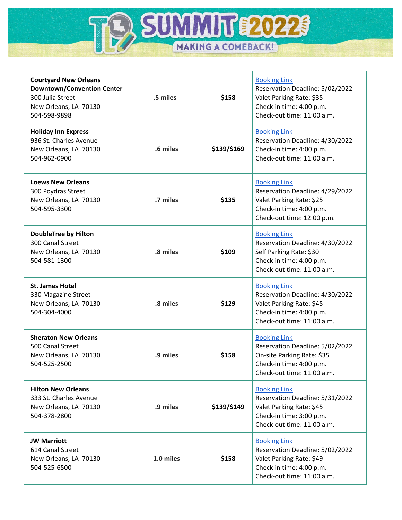

| <b>Courtyard New Orleans</b><br><b>Downtown/Convention Center</b><br>300 Julia Street<br>New Orleans, LA 70130<br>504-598-9898 | .5 miles  | \$158       | <b>Booking Link</b><br>Reservation Deadline: 5/02/2022<br>Valet Parking Rate: \$35<br>Check-in time: 4:00 p.m.<br>Check-out time: 11:00 a.m.   |  |
|--------------------------------------------------------------------------------------------------------------------------------|-----------|-------------|------------------------------------------------------------------------------------------------------------------------------------------------|--|
| <b>Holiday Inn Express</b><br>936 St. Charles Avenue<br>New Orleans, LA 70130<br>504-962-0900                                  | .6 miles  | \$139/\$169 | <b>Booking Link</b><br>Reservation Deadline: 4/30/2022<br>Check-in time: 4:00 p.m.<br>Check-out time: 11:00 a.m.                               |  |
| <b>Loews New Orleans</b><br>300 Poydras Street<br>New Orleans, LA 70130<br>504-595-3300                                        | .7 miles  | \$135       | <b>Booking Link</b><br>Reservation Deadline: 4/29/2022<br>Valet Parking Rate: \$25<br>Check-in time: 4:00 p.m.<br>Check-out time: 12:00 p.m.   |  |
| <b>DoubleTree by Hilton</b><br>300 Canal Street<br>New Orleans, LA 70130<br>504-581-1300                                       | .8 miles  | \$109       | <b>Booking Link</b><br>Reservation Deadline: 4/30/2022<br>Self Parking Rate: \$30<br>Check-in time: 4:00 p.m.<br>Check-out time: 11:00 a.m.    |  |
| <b>St. James Hotel</b><br>330 Magazine Street<br>New Orleans, LA 70130<br>504-304-4000                                         | .8 miles  | \$129       | <b>Booking Link</b><br>Reservation Deadline: 4/30/2022<br>Valet Parking Rate: \$45<br>Check-in time: 4:00 p.m.<br>Check-out time: 11:00 a.m.   |  |
| <b>Sheraton New Orleans</b><br>500 Canal Street<br>New Orleans, LA 70130<br>504-525-2500                                       | .9 miles  | \$158       | <b>Booking Link</b><br>Reservation Deadline: 5/02/2022<br>On-site Parking Rate: \$35<br>Check-in time: 4:00 p.m.<br>Check-out time: 11:00 a.m. |  |
| <b>Hilton New Orleans</b><br>333 St. Charles Avenue<br>New Orleans, LA 70130<br>504-378-2800                                   | .9 miles  | \$139/\$149 | <b>Booking Link</b><br>Reservation Deadline: 5/31/2022<br>Valet Parking Rate: \$45<br>Check-in time: 3:00 p.m.<br>Check-out time: 11:00 a.m.   |  |
| <b>JW Marriott</b><br>614 Canal Street<br>New Orleans, LA 70130<br>504-525-6500                                                | 1.0 miles | \$158       | <b>Booking Link</b><br>Reservation Deadline: 5/02/2022<br>Valet Parking Rate: \$49<br>Check-in time: 4:00 p.m.<br>Check-out time: 11:00 a.m.   |  |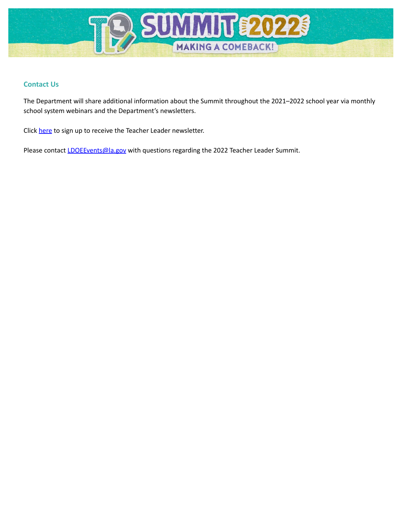

# **Contact Us**

The Department will share additional information about the Summit throughout the 2021–2022 school year via monthly school system webinars and the Department's newsletters.

Click [here](https://visitor.r20.constantcontact.com/manage/optin?v=001fIloikhUAkU8BmsFPkwx3k5zMvZi0TX22WoSfv_7pcprLwBpcWhwcoxlY0L_VXP8fVfrX5YARilIBbC4RE_A1pWS0_QmEc02vU-Ta6NCr20%3D) to sign up to receive the Teacher Leader newsletter.

Please contact **LDOEEvents@la.gov** with questions regarding the 2022 Teacher Leader Summit.